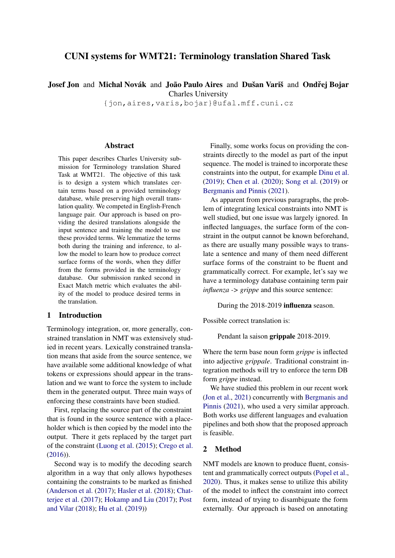# CUNI systems for WMT21: Terminology translation Shared Task

Josef Jon and Michal Novák and João Paulo Aires and Dušan Variš and Ondřej Bojar

Charles University

{jon,aires,varis,bojar}@ufal.mff.cuni.cz

#### Abstract

This paper describes Charles University submission for Terminology translation Shared Task at WMT21. The objective of this task is to design a system which translates certain terms based on a provided terminology database, while preserving high overall translation quality. We competed in English-French language pair. Our approach is based on providing the desired translations alongside the input sentence and training the model to use these provided terms. We lemmatize the terms both during the training and inference, to allow the model to learn how to produce correct surface forms of the words, when they differ from the forms provided in the terminology database. Our submission ranked second in Exact Match metric which evaluates the ability of the model to produce desired terms in the translation.

## 1 Introduction

Terminology integration, or, more generally, constrained translation in NMT was extensively studied in recent years. Lexically constrained translation means that aside from the source sentence, we have available some additional knowledge of what tokens or expressions should appear in the translation and we want to force the system to include them in the generated output. Three main ways of enforcing these constraints have been studied.

First, replacing the source part of the constraint that is found in the source sentence with a placeholder which is then copied by the model into the output. There it gets replaced by the target part of the constraint [\(Luong et al.](#page-6-0) [\(2015\)](#page-6-0); [Crego et al.](#page-5-0) [\(2016\)](#page-5-0)).

Second way is to modify the decoding search algorithm in a way that only allows hypotheses containing the constraints to be marked as finished [\(Anderson et al.](#page-5-1) [\(2017\)](#page-5-1); [Hasler et al.](#page-5-2) [\(2018\)](#page-5-2); [Chat](#page-5-3)[terjee et al.](#page-5-3) [\(2017\)](#page-5-3); [Hokamp and Liu](#page-5-4) [\(2017\)](#page-5-4); [Post](#page-6-1) [and Vilar](#page-6-1) [\(2018\)](#page-6-1); [Hu et al.](#page-5-5) [\(2019\)](#page-5-5))

Finally, some works focus on providing the constraints directly to the model as part of the input sequence. The model is trained to incorporate these constraints into the output, for example [Dinu et al.](#page-5-6) [\(2019\)](#page-5-6); [Chen et al.](#page-5-7) [\(2020\)](#page-5-7); [Song et al.](#page-6-2) [\(2019\)](#page-6-2) or [Bergmanis and Pinnis](#page-5-8) [\(2021\)](#page-5-8).

As apparent from previous paragraphs, the problem of integrating lexical constraints into NMT is well studied, but one issue was largely ignored. In inflected languages, the surface form of the constraint in the output cannot be known beforehand, as there are usually many possible ways to translate a sentence and many of them need different surface forms of the constraint to be fluent and grammatically correct. For example, let's say we have a terminology database containing term pair *influenza -> grippe* and this source sentence:

During the 2018-2019 influenza season.

Possible correct translation is:

Pendant la saison grippale 2018-2019.

Where the term base noun form *grippe* is inflected into adjective *grippale*. Traditional constraint integration methods will try to enforce the term DB form *grippe* instead.

We have studied this problem in our recent work [\(Jon et al.,](#page-5-9) [2021\)](#page-5-9) concurrently with [Bergmanis and](#page-5-8) [Pinnis](#page-5-8) [\(2021\)](#page-5-8), who used a very similar approach. Both works use different languages and evaluation pipelines and both show that the proposed approach is feasible.

## 2 Method

NMT models are known to produce fluent, consistent and grammatically correct outputs [\(Popel et al.,](#page-6-3) [2020\)](#page-6-3). Thus, it makes sense to utilize this ability of the model to inflect the constraint into correct form, instead of trying to disambiguate the form externally. Our approach is based on annotating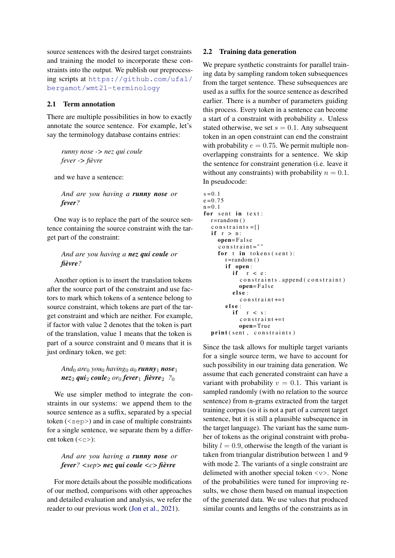source sentences with the desired target constraints and training the model to incorporate these constraints into the output. We publish our preprocessing scripts at [https://github.com/ufal/](https://github.com/ufal/bergamot/wmt21-terminology) [bergamot/wmt21-terminology](https://github.com/ufal/bergamot/wmt21-terminology)

#### 2.1 Term annotation

There are multiple possibilities in how to exactly annotate the source sentence. For example, let's say the terminology database contains entries:

*runny nose -> nez qui coule fever -> fièvre*

and we have a sentence:

*And are you having a runny nose or fever?*

One way is to replace the part of the source sentence containing the source constraint with the target part of the constraint:

## *And are you having a nez qui coule or fièvre?*

Another option is to insert the translation tokens after the source part of the constraint and use factors to mark which tokens of a sentence belong to source constraint, which tokens are part of the target constraint and which are neither. For example, if factor with value 2 denotes that the token is part of the translation, value 1 means that the token is part of a source constraint and 0 means that it is just ordinary token, we get:

## $And_0$  *are*<sub>0</sub> *you*<sup>0</sup> *having*<sup>0</sup> *a*<sup>0</sup> *runny***<sub>1</sub>** *nose***<sub>1</sub>**  $n$ ez<sub>2</sub> *qui*<sub>2</sub> *coule<sub>2</sub> <i>or*<sub>0</sub> *fever*<sub>1</sub> *fièvre*<sub>2</sub> *?*<sub>0</sub>

We use simpler method to integrate the constraints in our systems: we append them to the source sentence as a suffix, separated by a special token  $(\langle$ sep>) and in case of multiple constraints for a single sentence, we separate them by a different token  $($ ):

## *And are you having a runny nose or fever? <sep> nez qui coule <c> fièvre*

For more details about the possible modifications of our method, comparisons with other approaches and detailed evaluation and analysis, we refer the reader to our previous work [\(Jon et al.,](#page-5-9) [2021\)](#page-5-9).

#### 2.2 Training data generation

We prepare synthetic constraints for parallel training data by sampling random token subsequences from the target sentence. These subsequences are used as a suffix for the source sentence as described earlier. There is a number of parameters guiding this process. Every token in a sentence can become a start of a constraint with probability s. Unless stated otherwise, we set  $s = 0.1$ . Any subsequent token in an open constraint can end the constraint with probability  $e = 0.75$ . We permit multiple nonoverlapping constraints for a sentence. We skip the sentence for constraint generation (i.e. leave it without any constraints) with probability  $n = 0.1$ . In pseudocode:

```
s = 0.1e = 0.75n = 0.1for sent in text:
r = random()constraints = []
if r > n:
   open= F a l s e
   \cos o n s t r a i n t = " "
   for t in tokens (sent):
      r = random()if open:<br>if rr < e:
           constraints. append (constraint)
           open= F a l s e
        e l s e :
           constr a i n t += t
      e l s e :
        if r < s:
           constrain t += topen=True
print (sent, constraints)
```
Since the task allows for multiple target variants for a single source term, we have to account for such possibility in our training data generation. We assume that each generated constraint can have a variant with probability  $v = 0.1$ . This variant is sampled randomly (with no relation to the source sentence) from n-grams extracted from the target training corpus (so it is not a part of a current target sentence, but it is still a plausible subsequence in the target language). The variant has the same number of tokens as the original constraint with probability  $l = 0.9$ , otherwise the length of the variant is taken from triangular distribution between 1 and 9 with mode 2. The variants of a single constraint are delimeted with another special token <v>. None of the probabilities were tuned for improving results, we chose them based on manual inspection of the generated data. We use values that produced similar counts and lengths of the constraints as in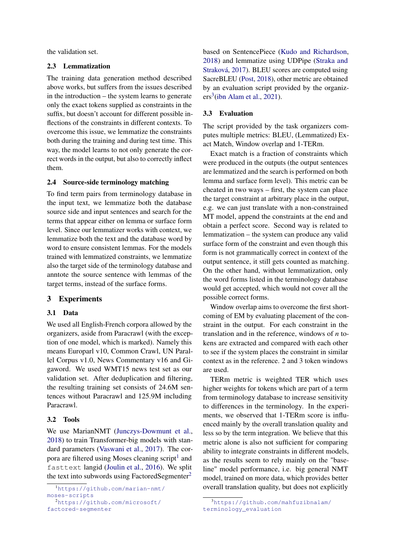the validation set.

#### 2.3 Lemmatization

The training data generation method described above works, but suffers from the issues described in the introduction – the system learns to generate only the exact tokens supplied as constraints in the suffix, but doesn't account for different possible inflections of the constraints in different contexts. To overcome this issue, we lemmatize the constraints both during the training and during test time. This way, the model learns to not only generate the correct words in the output, but also to correctly inflect them.

#### 2.4 Source-side terminology matching

To find term pairs from terminology database in the input text, we lemmatize both the database source side and input sentences and search for the terms that appear either on lemma or surface form level. Since our lemmatizer works with context, we lemmatize both the text and the database word by word to ensure consistent lemmas. For the models trained with lemmatized constraints, we lemmatize also the target side of the terminology database and anntote the source sentence with lemmas of the target terms, instead of the surface forms.

#### 3 Experiments

#### 3.1 Data

We used all English-French corpora allowed by the organizers, aside from Paracrawl (with the exception of one model, which is marked). Namely this means Europarl v10, Common Crawl, UN Parallel Corpus v1.0, News Commentary v16 and Gigaword. We used WMT15 news test set as our validation set. After deduplication and filtering, the resulting training set consists of 24.6M sentences without Paracrawl and 125.9M including Paracrawl.

## 3.2 Tools

We use MarianNMT [\(Junczys-Dowmunt et al.,](#page-5-10) [2018\)](#page-5-10) to train Transformer-big models with standard parameters [\(Vaswani et al.,](#page-6-4) [2017\)](#page-6-4). The cor-pora are filtered using Moses cleaning script<sup>[1](#page-2-0)</sup> and fasttext langid [\(Joulin et al.,](#page-5-11) [2016\)](#page-5-11). We split the text into subwords using FactoredSegmenter<sup>[2](#page-2-1)</sup>

<span id="page-2-1"></span>[factored-segmenter](https://github.com/microsoft/factored-segmenter)

based on SentencePiece [\(Kudo and Richardson,](#page-5-12) [2018\)](#page-5-12) and lemmatize using UDPipe [\(Straka and](#page-6-5) [Straková,](#page-6-5) [2017\)](#page-6-5). BLEU scores are computed using SacreBLEU [\(Post,](#page-6-6) [2018\)](#page-6-6), other metric are obtained by an evaluation script provided by the organiz- $ers<sup>3</sup>$  $ers<sup>3</sup>$  $ers<sup>3</sup>$ [\(ibn Alam et al.,](#page-5-13) [2021\)](#page-5-13).

#### 3.3 Evaluation

The script provided by the task organizers computes multiple metrics: BLEU, (Lemmatized) Exact Match, Window overlap and 1-TERm.

Exact match is a fraction of constraints which were produced in the outputs (the output sentences are lemmatized and the search is performed on both lemma and surface form level). This metric can be cheated in two ways – first, the system can place the target constraint at arbitrary place in the output, e.g. we can just translate with a non-constrained MT model, append the constraints at the end and obtain a perfect score. Second way is related to lemmatization – the system can produce any valid surface form of the constraint and even though this form is not grammatically correct in context of the output sentence, it still gets counted as matching. On the other hand, without lemmatization, only the word forms listed in the terminology database would get accepted, which would not cover all the possible correct forms.

Window overlap aims to overcome the first shortcoming of EM by evaluating placement of the constraint in the output. For each constraint in the translation and in the reference, windows of *n* tokens are extracted and compared with each other to see if the system places the constraint in similar context as in the reference. 2 and 3 token windows are used.

TERm metric is weighted TER which uses higher weights for tokens which are part of a term from terminology database to increase sensitivity to differences in the terminology. In the experiments, we observed that 1-TERm score is influenced mainly by the overall translation quality and less so by the term integration. We believe that this metric alone is also not sufficient for comparing ability to integrate constraints in different models, as the results seem to rely mainly on the "baseline" model performance, i.e. big general NMT model, trained on more data, which provides better overall translation quality, but does not explicitly

<span id="page-2-0"></span><sup>1</sup>[https://github.com/marian-nmt/](https://github.com/marian-nmt/moses-scripts) [moses-scripts](https://github.com/marian-nmt/moses-scripts) <sup>2</sup>[https://github.com/microsoft/](https://github.com/microsoft/factored-segmenter)

<span id="page-2-2"></span><sup>3</sup>[https://github.com/mahfuzibnalam/](https://github.com/mahfuzibnalam/terminology_evaluation) [terminology\\_evaluation](https://github.com/mahfuzibnalam/terminology_evaluation)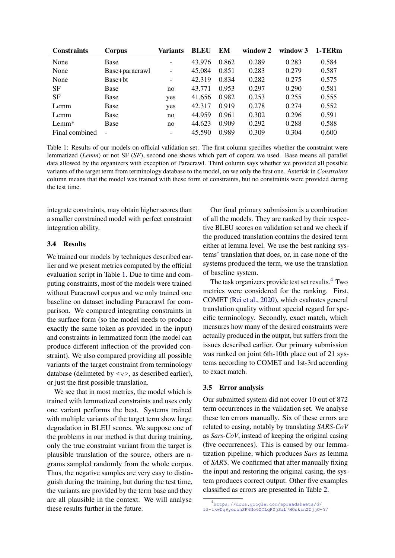<span id="page-3-0"></span>

| <b>Constraints</b> | Corpus                   | Variants                     | <b>BLEU</b> | EM    | window 2 | window 3 | 1-TERm |
|--------------------|--------------------------|------------------------------|-------------|-------|----------|----------|--------|
| None               | Base                     | $\overline{\phantom{a}}$     | 43.976      | 0.862 | 0.289    | 0.283    | 0.584  |
| None               | Base+paracrawl           | $\overline{\phantom{a}}$     | 45.084      | 0.851 | 0.283    | 0.279    | 0.587  |
| None               | Base+bt                  | $\qquad \qquad \blacksquare$ | 42.319      | 0.834 | 0.282    | 0.275    | 0.575  |
| <b>SF</b>          | Base                     | no                           | 43.771      | 0.953 | 0.297    | 0.290    | 0.581  |
| SF                 | <b>Base</b>              | yes                          | 41.656      | 0.982 | 0.253    | 0.255    | 0.555  |
| Lemm               | Base                     | yes                          | 42.317      | 0.919 | 0.278    | 0.274    | 0.552  |
| Lemm               | Base                     | no                           | 44.959      | 0.961 | 0.302    | 0.296    | 0.591  |
| $Lemm*$            | Base                     | no                           | 44.623      | 0.909 | 0.292    | 0.288    | 0.588  |
| Final combined     | $\overline{\phantom{0}}$ | $\overline{\phantom{a}}$     | 45.590      | 0.989 | 0.309    | 0.304    | 0.600  |

Table 1: Results of our models on official validation set. The first column specifies whether the constraint were lemmatized (*Lemm*) or not SF (*SF*), second one shows which part of copora we used. Base means all parallel data allowed by the organizers with exception of Paracrawl. Third column says whether we provided all possible variants of the target term from terminology database to the model, on we only the first one. Asterisk in *Constraints* column means that the model was trained with these form of constraints, but no constraints were provided during the test time.

integrate constraints, may obtain higher scores than a smaller constrained model with perfect constraint integration ability.

## 3.4 Results

We trained our models by techniques described earlier and we present metrics computed by the official evaluation script in Table [1.](#page-3-0) Due to time and computing constraints, most of the models were trained without Paracrawl corpus and we only trained one baseline on dataset including Paracrawl for comparison. We compared integrating constraints in the surface form (so the model needs to produce exactly the same token as provided in the input) and constraints in lemmatized form (the model can produce different inflection of the provided constraint). We also compared providing all possible variants of the target constraint from terminology database (delimeted by  $\langle \nabla \rangle$ , as described earlier), or just the first possible translation.

We see that in most metrics, the model which is trained with lemmatized constraints and uses only one variant performs the best. Systems trained with multiple variants of the target term show large degradation in BLEU scores. We suppose one of the problems in our method is that during training, only the true constraint variant from the target is plausible translation of the source, others are ngrams sampled randomly from the whole corpus. Thus, the negative samples are very easy to distinguish during the training, but during the test time, the variants are provided by the term base and they are all plausible in the context. We will analyse these results further in the future.

Our final primary submission is a combination of all the models. They are ranked by their respective BLEU scores on validation set and we check if the produced translation contains the desired term either at lemma level. We use the best ranking systems' translation that does, or, in case none of the systems produced the term, we use the translation of baseline system.

The task organizers provide test set results.<sup>[4](#page-3-1)</sup> Two metrics were considered for the ranking. First, COMET [\(Rei et al.,](#page-6-7) [2020\)](#page-6-7), which evaluates general translation quality without special regard for specific terminology. Secondly, exact match, which measures how many of the desired constraints were actually produced in the output, but suffers from the issues described earlier. Our primary submission was ranked on joint 6th-10th place out of 21 systems according to COMET and 1st-3rd according to exact match.

#### 3.5 Error analysis

Our submitted system did not cover 10 out of 872 term occurrences in the validation set. We analyse these ten errors manually. Six of these errors are related to casing, notably by translating *SARS-CoV* as *Sars-CoV*, instead of keeping the original casing (five occurrences). This is caused by our lemmatization pipeline, which produces *Sars* as lemma of *SARS*. We confirmed that after manually fixing the input and restoring the original casing, the system produces correct output. Other five examples classified as errors are presented in Table [2.](#page-4-0)

<span id="page-3-1"></span><sup>4</sup> [https://docs.google.com/spreadsheets/d/](https://docs.google.com/spreadsheets/d/13-lkwDq9yerehSF4No6ZTLqPXjSaL7HOsksnZDjjO-Y/) [13-lkwDq9yerehSF4No6ZTLqPXjSaL7HOsksnZDjjO-Y/](https://docs.google.com/spreadsheets/d/13-lkwDq9yerehSF4No6ZTLqPXjSaL7HOsksnZDjjO-Y/)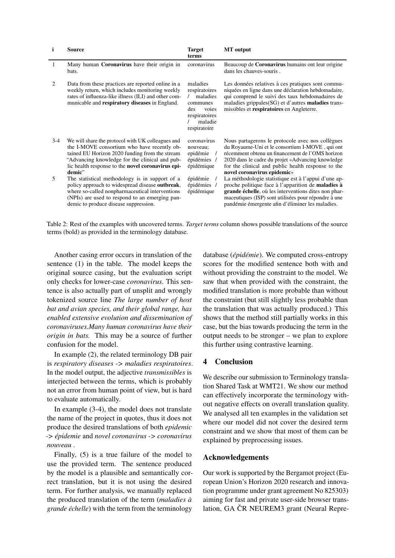<span id="page-4-0"></span>

| i     | <b>Source</b>                                                                                                                                                                                                                                                       | <b>Target</b><br>terms                                                                                        | <b>MT</b> output                                                                                                                                                                                                                                                                                  |
|-------|---------------------------------------------------------------------------------------------------------------------------------------------------------------------------------------------------------------------------------------------------------------------|---------------------------------------------------------------------------------------------------------------|---------------------------------------------------------------------------------------------------------------------------------------------------------------------------------------------------------------------------------------------------------------------------------------------------|
| 1     | Many human <b>Coronavirus</b> have their origin in<br>bats.                                                                                                                                                                                                         | coronavirus                                                                                                   | Beaucoup de Coronavirus humains ont leur origine<br>dans les chauves-souris.                                                                                                                                                                                                                      |
| 2     | Data from these practices are reported online in a<br>weekly return, which includes monitoring weekly<br>rates of influenza-like illness (ILI) and other com-<br>municable and respiratory diseases in England.                                                     | maladies<br>respiratoires<br>maladies<br>communes<br>des<br>voies<br>respiratoires<br>maladie<br>respiratoire | Les données relatives à ces pratiques sont commu-<br>niquées en ligne dans une déclaration hebdomadaire,<br>qui comprend le suivi des taux hebdomadaires de<br>maladies grippales(SG) et d'autres maladies trans-<br>missibles et respiratoires en Angleterre.                                    |
| $3-4$ | We will share the protocol with UK colleagues and<br>the I-MOVE consortium who have recently ob-<br>tained EU Horizon 2020 funding from the stream<br>"Advancing knowledge for the clinical and pub-<br>lic health response to the novel coronavirus epi-<br>demic" | coronavirus<br>nouveau:<br>epidémie<br>épidémies /<br>épidémique                                              | Nous partagerons le protocole avec nos collègues<br>du Royaume-Uni et le consortium I-MOVE, qui ont<br>récemment obtenu un financement de l'OMS horizon<br>2020 dans le cadre du projet «Advancing knowledge<br>for the clinical and public health response to the<br>novel coronavirus epidemic» |
| 5     | The statistical methodology is in support of a<br>policy approach to widespread disease outbreak,<br>where so-called nonpharmaceutical interventions<br>(NPIs) are used to respond to an emerging pan-<br>demic to produce disease suppression.                     | épidémie<br>épidémies /<br>épidémique                                                                         | La méthodologie statistique est à l'appui d'une ap-<br>proche politique face à l'apparition de <b>maladies à</b><br>grande échelle, où les interventions dites non phar-<br>maceutiques (ISP) sont utilisées pour répondre à une<br>pandémie émergente afin d'éliminer les maladies.              |

Table 2: Rest of the examples with uncovered terms. *Target terms* column shows possible translations of the source terms (bold) as provided in the terminology database.

Another casing error occurs in translation of the sentence (1) in the table. The model keeps the original source casing, but the evaluation script only checks for lower-case *coronavirus*. This sentence is also actually part of unsplit and wrongly tokenized source line *The large number of host bat and avian species, and their global range, has enabled extensive evolution and dissemination of coronaviruses.Many human coronavirus have their origin in bats.* This may be a source of further confusion for the model.

In example (2), the related terminology DB pair is *respiratory diseases -> maladies respiratoires*. In the model output, the adjective *transmissibles* is interjected between the terms, which is probably not an error from human point of view, but is hard to evaluate automatically.

In example (3-4), the model does not translate the name of the project in quotes, thus it does not produce the desired translations of both *epidemic -> épidemie* and *novel coronavirus -> coronavirus nouveau* .

Finally, (5) is a true failure of the model to use the provided term. The sentence produced by the model is a plausible and semantically correct translation, but it is not using the desired term. For further analysis, we manually replaced the produced translation of the term (*maladies à grande échelle*) with the term from the terminology

database (*épidémie*). We computed cross-entropy scores for the modified sentence both with and without providing the constraint to the model. We saw that when provided with the constraint, the modified translation is more probable than without the constraint (but still slightly less probable than the translation that was actually produced.) This shows that the method still partially works in this case, but the bias towards producing the term in the output needs to be stronger – we plan to explore this further using contrastive learning.

#### 4 Conclusion

We describe our submission to Terminology translation Shared Task at WMT21. We show our method can effectively incorporate the terminology without negative effects on overall translation quality. We analysed all ten examples in the validation set where our model did not cover the desired term constraint and we show that most of them can be explained by preprocessing issues.

#### Acknowledgements

Our work is supported by the Bergamot project (European Union's Horizon 2020 research and innovation programme under grant agreement No 825303) aiming for fast and private user-side browser translation, GA ČR NEUREM3 grant (Neural Repre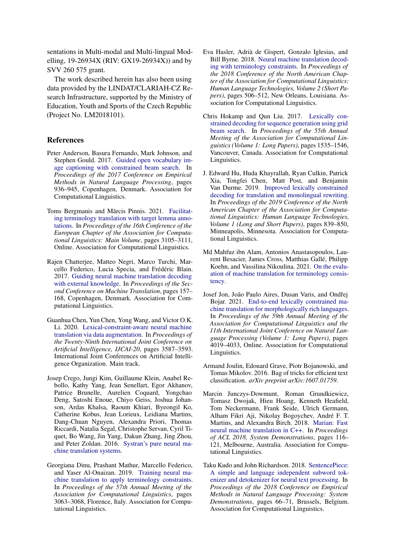sentations in Multi-modal and Multi-lingual Modelling, 19-26934X (RIV: GX19-26934X)) and by SVV 260 575 grant.

The work described herein has also been using data provided by the LINDAT/CLARIAH-CZ Research Infrastructure, supported by the Ministry of Education, Youth and Sports of the Czech Republic (Project No. LM2018101).

## References

- <span id="page-5-1"></span>Peter Anderson, Basura Fernando, Mark Johnson, and Stephen Gould. 2017. [Guided open vocabulary im](https://doi.org/10.18653/v1/D17-1098)[age captioning with constrained beam search.](https://doi.org/10.18653/v1/D17-1098) In *Proceedings of the 2017 Conference on Empirical Methods in Natural Language Processing*, pages 936–945, Copenhagen, Denmark. Association for Computational Linguistics.
- <span id="page-5-8"></span>Toms Bergmanis and Mārcis Pinnis. 2021. [Facilitat](https://www.aclweb.org/anthology/2021.eacl-main.271)[ing terminology translation with target lemma anno](https://www.aclweb.org/anthology/2021.eacl-main.271)[tations.](https://www.aclweb.org/anthology/2021.eacl-main.271) In *Proceedings of the 16th Conference of the European Chapter of the Association for Computational Linguistics: Main Volume*, pages 3105–3111, Online. Association for Computational Linguistics.
- <span id="page-5-3"></span>Rajen Chatterjee, Matteo Negri, Marco Turchi, Marcello Federico, Lucia Specia, and Frédéric Blain. 2017. [Guiding neural machine translation decoding](https://doi.org/10.18653/v1/W17-4716) [with external knowledge.](https://doi.org/10.18653/v1/W17-4716) In *Proceedings of the Second Conference on Machine Translation*, pages 157– 168, Copenhagen, Denmark. Association for Computational Linguistics.
- <span id="page-5-7"></span>Guanhua Chen, Yun Chen, Yong Wang, and Victor O.K. Li. 2020. [Lexical-constraint-aware neural machine](https://doi.org/10.24963/ijcai.2020/496) [translation via data augmentation.](https://doi.org/10.24963/ijcai.2020/496) In *Proceedings of the Twenty-Ninth International Joint Conference on Artificial Intelligence, IJCAI-20*, pages 3587–3593. International Joint Conferences on Artificial Intelligence Organization. Main track.
- <span id="page-5-0"></span>Josep Crego, Jungi Kim, Guillaume Klein, Anabel Rebollo, Kathy Yang, Jean Senellart, Egor Akhanov, Patrice Brunelle, Aurelien Coquard, Yongchao Deng, Satoshi Enoue, Chiyo Geiss, Joshua Johanson, Ardas Khalsa, Raoum Khiari, Byeongil Ko, Catherine Kobus, Jean Lorieux, Leidiana Martins, Dang-Chuan Nguyen, Alexandra Priori, Thomas Riccardi, Natalia Segal, Christophe Servan, Cyril Tiquet, Bo Wang, Jin Yang, Dakun Zhang, Jing Zhou, and Peter Zoldan. 2016. [Systran's pure neural ma](http://arxiv.org/abs/1610.05540)[chine translation systems.](http://arxiv.org/abs/1610.05540)
- <span id="page-5-6"></span>Georgiana Dinu, Prashant Mathur, Marcello Federico, and Yaser Al-Onaizan. 2019. [Training neural ma](https://doi.org/10.18653/v1/P19-1294)[chine translation to apply terminology constraints.](https://doi.org/10.18653/v1/P19-1294) In *Proceedings of the 57th Annual Meeting of the Association for Computational Linguistics*, pages 3063–3068, Florence, Italy. Association for Computational Linguistics.
- <span id="page-5-2"></span>Eva Hasler, Adrià de Gispert, Gonzalo Iglesias, and Bill Byrne. 2018. [Neural machine translation decod](https://doi.org/10.18653/v1/N18-2081)[ing with terminology constraints.](https://doi.org/10.18653/v1/N18-2081) In *Proceedings of the 2018 Conference of the North American Chapter of the Association for Computational Linguistics: Human Language Technologies, Volume 2 (Short Papers)*, pages 506–512, New Orleans, Louisiana. Association for Computational Linguistics.
- <span id="page-5-4"></span>Chris Hokamp and Qun Liu. 2017. [Lexically con](https://doi.org/10.18653/v1/P17-1141)[strained decoding for sequence generation using grid](https://doi.org/10.18653/v1/P17-1141) [beam search.](https://doi.org/10.18653/v1/P17-1141) In *Proceedings of the 55th Annual Meeting of the Association for Computational Linguistics (Volume 1: Long Papers)*, pages 1535–1546, Vancouver, Canada. Association for Computational Linguistics.
- <span id="page-5-5"></span>J. Edward Hu, Huda Khayrallah, Ryan Culkin, Patrick Xia, Tongfei Chen, Matt Post, and Benjamin Van Durme. 2019. [Improved lexically constrained](https://doi.org/10.18653/v1/N19-1090) [decoding for translation and monolingual rewriting.](https://doi.org/10.18653/v1/N19-1090) In *Proceedings of the 2019 Conference of the North American Chapter of the Association for Computational Linguistics: Human Language Technologies, Volume 1 (Long and Short Papers)*, pages 839–850, Minneapolis, Minnesota. Association for Computational Linguistics.
- <span id="page-5-13"></span>Md Mahfuz ibn Alam, Antonios Anastasopoulos, Laurent Besacier, James Cross, Matthias Gallé, Philipp Koehn, and Vassilina Nikoulina. 2021. [On the evalu](http://arxiv.org/abs/2106.11891)[ation of machine translation for terminology consis](http://arxiv.org/abs/2106.11891)[tency.](http://arxiv.org/abs/2106.11891)
- <span id="page-5-9"></span>Josef Jon, João Paulo Aires, Dusan Varis, and Ondřej Bojar. 2021. [End-to-end lexically constrained ma](https://doi.org/10.18653/v1/2021.acl-long.311)[chine translation for morphologically rich languages.](https://doi.org/10.18653/v1/2021.acl-long.311) In *Proceedings of the 59th Annual Meeting of the Association for Computational Linguistics and the 11th International Joint Conference on Natural Language Processing (Volume 1: Long Papers)*, pages 4019–4033, Online. Association for Computational Linguistics.
- <span id="page-5-11"></span>Armand Joulin, Edouard Grave, Piotr Bojanowski, and Tomas Mikolov. 2016. Bag of tricks for efficient text classification. *arXiv preprint arXiv:1607.01759*.
- <span id="page-5-10"></span>Marcin Junczys-Dowmunt, Roman Grundkiewicz, Tomasz Dwojak, Hieu Hoang, Kenneth Heafield, Tom Neckermann, Frank Seide, Ulrich Germann, Alham Fikri Aji, Nikolay Bogoychev, André F. T. Martins, and Alexandra Birch. 2018. [Marian: Fast](http://www.aclweb.org/anthology/P18-4020) [neural machine translation in C++.](http://www.aclweb.org/anthology/P18-4020) In *Proceedings of ACL 2018, System Demonstrations*, pages 116– 121, Melbourne, Australia. Association for Computational Linguistics.
- <span id="page-5-12"></span>Taku Kudo and John Richardson. 2018. [SentencePiece:](https://doi.org/10.18653/v1/D18-2012) [A simple and language independent subword tok](https://doi.org/10.18653/v1/D18-2012)[enizer and detokenizer for neural text processing.](https://doi.org/10.18653/v1/D18-2012) In *Proceedings of the 2018 Conference on Empirical Methods in Natural Language Processing: System Demonstrations*, pages 66–71, Brussels, Belgium. Association for Computational Linguistics.